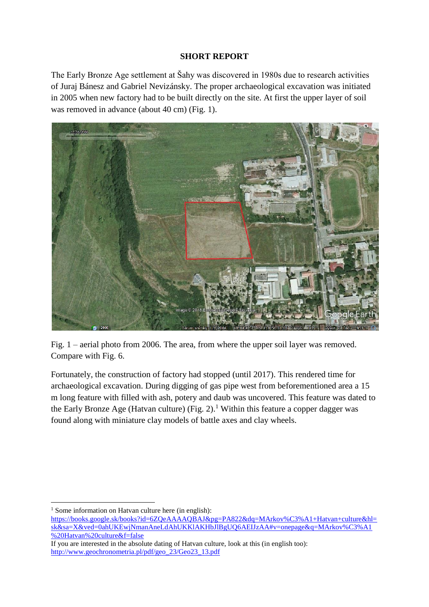## **SHORT REPORT**

The Early Bronze Age settlement at Šahy was discovered in 1980s due to research activities of Juraj Bánesz and Gabriel Nevizánsky. The proper archaeological excavation was initiated in 2005 when new factory had to be built directly on the site. At first the upper layer of soil was removed in advance (about 40 cm) (Fig. 1).



Fig. 1 – aerial photo from 2006. The area, from where the upper soil layer was removed. Compare with Fig. 6.

Fortunately, the construction of factory had stopped (until 2017). This rendered time for archaeological excavation. During digging of gas pipe west from beforementioned area a 15 m long feature with filled with ash, potery and daub was uncovered. This feature was dated to the Early Bronze Age (Hatvan culture) (Fig. 2).<sup>1</sup> Within this feature a copper dagger was found along with miniature clay models of battle axes and clay wheels.

 $<sup>1</sup>$  Some information on Hatvan culture here (in english):</sup> [https://books.google.sk/books?id=6ZQeAAAAQBAJ&pg=PA822&dq=MArkov%C3%A1+Hatvan+culture&hl=](https://books.google.sk/books?id=6ZQeAAAAQBAJ&pg=PA822&dq=MArkov%C3%A1+Hatvan+culture&hl=sk&sa=X&ved=0ahUKEwjNmanAneLdAhUKKlAKHbJlBgUQ6AEIJzAA#v=onepage&q=MArkov%C3%A1%20Hatvan%20culture&f=false) [sk&sa=X&ved=0ahUKEwjNmanAneLdAhUKKlAKHbJlBgUQ6AEIJzAA#v=onepage&q=MArkov%C3%A1](https://books.google.sk/books?id=6ZQeAAAAQBAJ&pg=PA822&dq=MArkov%C3%A1+Hatvan+culture&hl=sk&sa=X&ved=0ahUKEwjNmanAneLdAhUKKlAKHbJlBgUQ6AEIJzAA#v=onepage&q=MArkov%C3%A1%20Hatvan%20culture&f=false) [%20Hatvan%20culture&f=false](https://books.google.sk/books?id=6ZQeAAAAQBAJ&pg=PA822&dq=MArkov%C3%A1+Hatvan+culture&hl=sk&sa=X&ved=0ahUKEwjNmanAneLdAhUKKlAKHbJlBgUQ6AEIJzAA#v=onepage&q=MArkov%C3%A1%20Hatvan%20culture&f=false)

 $\overline{\phantom{a}}$ 

If you are interested in the absolute dating of Hatvan culture, look at this (in english too): [http://www.geochronometria.pl/pdf/geo\\_23/Geo23\\_13.pdf](http://www.geochronometria.pl/pdf/geo_23/Geo23_13.pdf)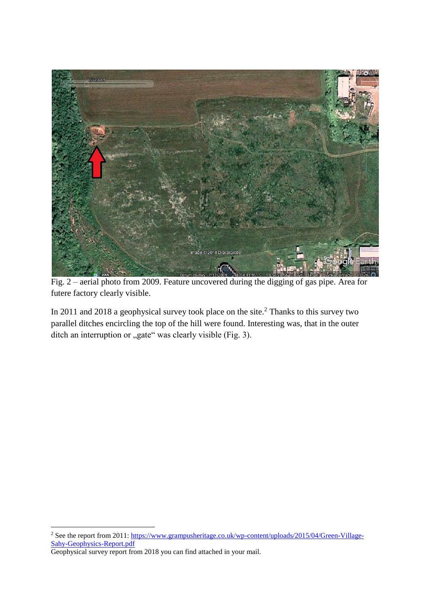

Fig. 2 – aerial photo from 2009. Feature uncovered during the digging of gas pipe. Area for futere factory clearly visible.

In 2011 and 2018 a geophysical survey took place on the site.<sup>2</sup> Thanks to this survey two parallel ditches encircling the top of the hill were found. Interesting was, that in the outer ditch an interruption or "gate" was clearly visible (Fig. 3).

**.** 

<sup>&</sup>lt;sup>2</sup> See the report from 2011: [https://www.grampusheritage.co.uk/wp-content/uploads/2015/04/Green-Village-](https://www.grampusheritage.co.uk/wp-content/uploads/2015/04/Green-Village-Sahy-Geophysics-Report.pdf)[Sahy-Geophysics-Report.pdf](https://www.grampusheritage.co.uk/wp-content/uploads/2015/04/Green-Village-Sahy-Geophysics-Report.pdf)

Geophysical survey report from 2018 you can find attached in your mail.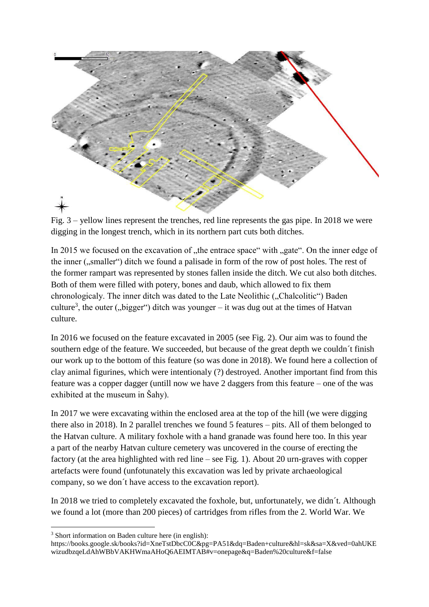

Fig. 3 – yellow lines represent the trenches, red line represents the gas pipe. In 2018 we were digging in the longest trench, which in its northern part cuts both ditches.

In 2015 we focused on the excavation of "the entrace space" with "gate". On the inner edge of the inner ("smaller") ditch we found a palisade in form of the row of post holes. The rest of the former rampart was represented by stones fallen inside the ditch. We cut also both ditches. Both of them were filled with potery, bones and daub, which allowed to fix them chronologicaly. The inner ditch was dated to the Late Neolithic ("Chalcolitic") Baden culture<sup>3</sup>, the outer ("bigger") ditch was younger – it was dug out at the times of Hatvan culture.

In 2016 we focused on the feature excavated in 2005 (see Fig. 2). Our aim was to found the southern edge of the feature. We succeeded, but because of the great depth we couldn´t finish our work up to the bottom of this feature (so was done in 2018). We found here a collection of clay animal figurines, which were intentionaly (?) destroyed. Another important find from this feature was a copper dagger (untill now we have 2 daggers from this feature – one of the was exhibited at the museum in Šahy).

In 2017 we were excavating within the enclosed area at the top of the hill (we were digging there also in 2018). In 2 parallel trenches we found 5 features – pits. All of them belonged to the Hatvan culture. A military foxhole with a hand granade was found here too. In this year a part of the nearby Hatvan culture cemetery was uncovered in the course of erecting the factory (at the area highlighted with red line – see Fig. 1). About 20 urn-graves with copper artefacts were found (unfotunately this excavation was led by private archaeological company, so we don´t have access to the excavation report).

In 2018 we tried to completely excavated the foxhole, but, unfortunately, we didn´t. Although we found a lot (more than 200 pieces) of cartridges from rifles from the 2. World War. We

**.** 

<sup>&</sup>lt;sup>3</sup> Short information on Baden culture here (in english):

https://books.google.sk/books?id=XneTstDbcC0C&pg=PA51&dq=Baden+culture&hl=sk&sa=X&ved=0ahUKE wizudbzqeLdAhWBbVAKHWmaAHoQ6AEIMTAB#v=onepage&q=Baden%20culture&f=false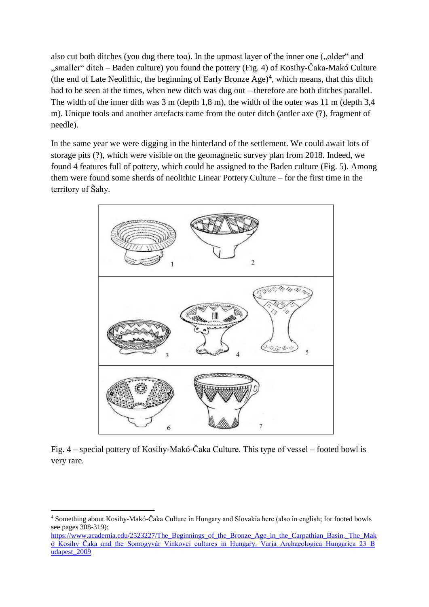also cut both ditches (you dug there too). In the upmost layer of the inner one ("older" and "smaller" ditch – Baden culture) you found the pottery (Fig. 4) of Kosihy-Čaka-Makó Culture (the end of Late Neolithic, the beginning of Early Bronze Age)<sup>4</sup>, which means, that this ditch had to be seen at the times, when new ditch was dug out – therefore are both ditches parallel. The width of the inner dith was 3 m (depth 1,8 m), the width of the outer was 11 m (depth 3,4 m). Unique tools and another artefacts came from the outer ditch (antler axe (?), fragment of needle).

In the same year we were digging in the hinterland of the settlement. We could await lots of storage pits (?), which were visible on the geomagnetic survey plan from 2018. Indeed, we found 4 features full of pottery, which could be assigned to the Baden culture (Fig. 5). Among them were found some sherds of neolithic Linear Pottery Culture – for the first time in the territory of Šahy.



Fig. 4 – special pottery of Kosihy-Makó-Čaka Culture. This type of vessel – footed bowl is very rare.

<sup>1</sup> <sup>4</sup> Something about Kosihy-Makó-Čaka Culture in Hungary and Slovakia here (also in english; for footed bowls see pages 308-319):

[https://www.academia.edu/2523227/The\\_Beginnings\\_of\\_the\\_Bronze\\_Age\\_in\\_the\\_Carpathian\\_Basin.\\_The\\_Mak](https://www.academia.edu/2523227/The_Beginnings_of_the_Bronze_Age_in_the_Carpathian_Basin._The_Makó_Kosihy_Čaka_and_the_Somogyvár_Vinkovci_cultures_in_Hungary._Varia_Archaeologica_Hungarica_23_Budapest_2009) [ó\\_Kosihy\\_Čaka\\_and\\_the\\_Somogyvár\\_Vinkovci\\_cultures\\_in\\_Hungary.\\_Varia\\_Archaeologica\\_Hungarica\\_23\\_B](https://www.academia.edu/2523227/The_Beginnings_of_the_Bronze_Age_in_the_Carpathian_Basin._The_Makó_Kosihy_Čaka_and_the_Somogyvár_Vinkovci_cultures_in_Hungary._Varia_Archaeologica_Hungarica_23_Budapest_2009) [udapest\\_2009](https://www.academia.edu/2523227/The_Beginnings_of_the_Bronze_Age_in_the_Carpathian_Basin._The_Makó_Kosihy_Čaka_and_the_Somogyvár_Vinkovci_cultures_in_Hungary._Varia_Archaeologica_Hungarica_23_Budapest_2009)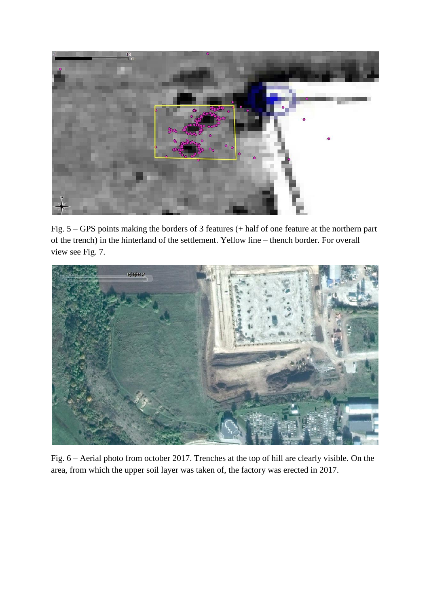

Fig. 5 – GPS points making the borders of 3 features (+ half of one feature at the northern part of the trench) in the hinterland of the settlement. Yellow line – thench border. For overall view see Fig. 7.



Fig. 6 – Aerial photo from october 2017. Trenches at the top of hill are clearly visible. On the area, from which the upper soil layer was taken of, the factory was erected in 2017.